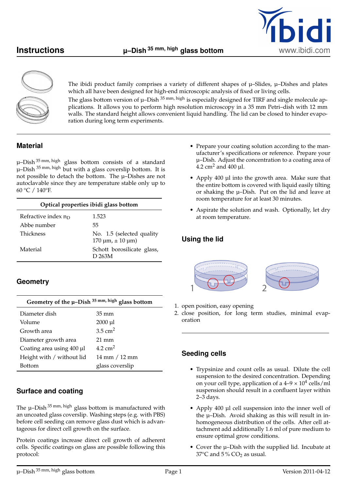



The ibidi product family comprises a variety of different shapes of  $\mu$ –Slides,  $\mu$ –Dishes and plates which all have been designed for high-end microscopic analysis of fixed or living cells.

The glass bottom version of  $\mu$ –Dish  $35$ <sup>mm, high</sup> is especially designed for TIRF and single molecule applications. It allows you to perform high resolution microscopy in a 35 mm Petri–dish with 12 mm walls. The standard height allows convenient liquid handling. The lid can be closed to hinder evaporation during long term experiments.

# **Material**

µ–Dish 35 mm, high glass bottom consists of a standard u-Dish <sup>35 mm, high</sup> but with a glass coverslip bottom. It is not possible to detach the bottom. The µ–Dishes are not autoclavable since they are temperature stable only up to 60 °C / 140°F.

| Optical properties ibidi glass bottom |                                                             |  |
|---------------------------------------|-------------------------------------------------------------|--|
| Refractive index $n_D$                | 1.523                                                       |  |
| Abbe number                           | 55.                                                         |  |
| <b>Thickness</b>                      | No. 1.5 (selected quality<br>$170 \mu m$ , $\pm 10 \mu m$ ) |  |
| Material                              | Schott borosilicate glass,<br>D 263M                        |  |

# **Geometry**

| Geometry of the $\mu$ -Dish 35 mm, high glass bottom |                    |  |
|------------------------------------------------------|--------------------|--|
| Diameter dish                                        | $35 \text{ mm}$    |  |
| Volume                                               | $2000$ $\mu$ l     |  |
| Growth area                                          | $3.5 \text{ cm}^2$ |  |
| Diameter growth area                                 | $21 \text{ mm}$    |  |
| Coating area using 400 µl                            | $4.2 \text{ cm}^2$ |  |
| Height with / without lid                            | 14 mm / 12 mm      |  |
| <b>Bottom</b>                                        | glass coverslip    |  |

### **Surface and coating**

The  $\mu$ –Dish<sup>35 mm, high</sup> glass bottom is manufactured with an uncoated glass coverslip. Washing steps (e.g. with PBS) before cell seeding can remove glass dust which is advantageous for direct cell growth on the surface.

Protein coatings increase direct cell growth of adherent cells. Specific coatings on glass are possible following this protocol:

- Prepare your coating solution according to the manufacturer's specifications or reference. Prepare your µ–Dish. Adjust the concentration to a coating area of  $4.2$  cm<sup>2</sup> and  $400$  µl.
- Apply 400 µl into the growth area. Make sure that the entire bottom is covered with liquid easily tilting or shaking the µ–Dish. Put on the lid and leave at room temperature for at least 30 minutes.
- Aspirate the solution and wash. Optionally, let dry at room temperature.

# **Using the lid**



- 1. open position, easy opening
- 2. close position, for long term studies, minimal evaporation

### **Seeding cells**

- Trypsinize and count cells as usual. Dilute the cell suspension to the desired concentration. Depending on your cell type, application of a  $4-9 \times 10^4$  cells/ml suspension should result in a confluent layer within 2–3 days.
- Apply 400 µl cell suspension into the inner well of the µ–Dish. Avoid shaking as this will result in inhomogeneous distribution of the cells. After cell attachment add additionally 1.6 ml of pure medium to ensure optimal grow conditions.
- Cover the µ–Dish with the supplied lid. Incubate at 37 $\degree$ C and 5 $\degree$  CO<sub>2</sub> as usual.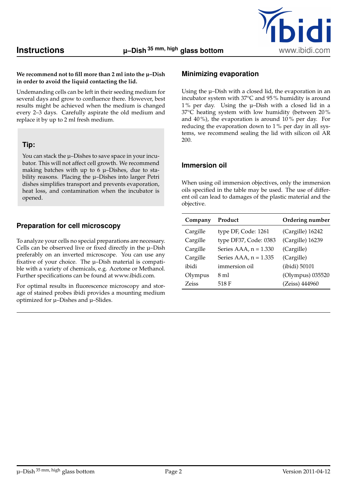

#### **We recommend not to fill more than 2 ml into the µ–Dish in order to avoid the liquid contacting the lid.**

Undemanding cells can be left in their seeding medium for several days and grow to confluence there. However, best results might be achieved when the medium is changed every 2–3 days. Carefully aspirate the old medium and replace it by up to 2 ml fresh medium.

#### **Tip:**

You can stack the µ–Dishes to save space in your incubator. This will not affect cell growth. We recommend making batches with up to  $6 \mu$ -Dishes, due to stability reasons. Placing the µ–Dishes into larger Petri dishes simplifies transport and prevents evaporation, heat loss, and contamination when the incubator is opened.

## **Preparation for cell microscopy**

To analyze your cells no special preparations are necessary. Cells can be observed live or fixed directly in the µ–Dish preferably on an inverted microscope. You can use any fixative of your choice. The µ–Dish material is compatible with a variety of chemicals, e.g. Acetone or Methanol. Further specifications can be found at www.ibidi.com.

For optimal results in fluorescence microscopy and storage of stained probes ibidi provides a mounting medium optimized for µ–Dishes and µ–Slides.

## **Minimizing evaporation**

Using the µ–Dish with a closed lid, the evaporation in an incubator system with 37°C and 95 % humidity is around 1 % per day. Using the µ–Dish with a closed lid in a 37°C heating system with low humidity (between 20 % and  $40\%$ ), the evaporation is around  $10\%$  per day. For reducing the evaporation down to 1 % per day in all systems, we recommend sealing the lid with silicon oil AR 200.

### **Immersion oil**

When using oil immersion objectives, only the immersion oils specified in the table may be used. The use of different oil can lead to damages of the plastic material and the objective.

| Company  | Product                 | Ordering number  |
|----------|-------------------------|------------------|
| Cargille | type DF, Code: 1261     | (Cargille) 16242 |
| Cargille | type DF37, Code: 0383   | (Cargille) 16239 |
| Cargille | Series AAA, $n = 1.330$ | (Cargille)       |
| Cargille | Series AAA, $n = 1.335$ | (Cargille)       |
| ibidi    | immersion oil           | (ibidi) 50101    |
| Olympus  | 8 ml                    | (Olympus) 035520 |
| Zeiss    | 518 F                   | (Zeiss) 444960   |